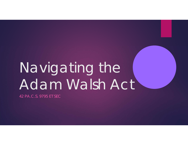# Navigating the Adam Walsh Act

42 PA.C.S. 9795 ET SEC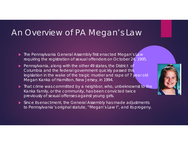### An Overview of PA Megan's Law

- **The Pennsylvania General Assembly first enacted Megan's Law** requiring the registration of sexual offenders on October 24, 1995.
- **Pennsylvania, along with the other 49 states, the District of** Columbia and the federal government quickly passed this legislation in the wake of the tragic murder and rape of 7 year old Megan Kanka of Hamilton, New Jersey, in 1994.
- Intiantially That crime was committed by a neighbor, who, unbeknownst to the Kanka family, or the community, has been convicted twice previously of sexual offenses against young girls.
- Since its enactment, the General Assembly has made adjustments to Pennsylvania's original statute, "Megan's Law I", and its progeny.

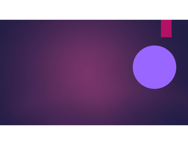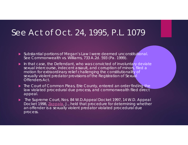#### See Act of Oct. 24, 1995, P.L. 1079

- Substantial portions of Megan's Law I were deemed unconstitutional. See Commonwealth vs. Williams, 733 A.2d. 593 (Pa. 1999).
- In that case, the Defendant, who was convicted of involuntary deviate sexual intercourse, indecent assault, and corruption of minors, filed a motion for extraordinary relief challenging the constitutionality of sexually violent predator provisions of the Registration of Sexual Offenders Act.
- **The Court of Common Pleas, Erie County, entered an order finding the** law violated procedural due process, and commonwealth filed direct appeal.
- ▶ The Supreme Court, Nos. 84 W.D.Appeal Docket 1997, 14 W.D. Appeal Docket 1998, Zappala, J., held that procedure for determining whether an offender is a sexually violent predator violated procedural due process.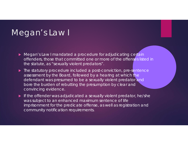### Megan's Law I

- **Megan's Law I mandated a procedure for adjudicating certain** offenders, those that committed one or more of the offenses listed in the statute, as "sexually violent predators".
- **The statutory procedure included a post-conviction, pre-sentence** assessment by the Board, followed by a hearing at which the defendant was presumed to be a sexually violent predator and bore the burden of rebutting the presumption by clear and convincing evidence.
- If the offender was adjudicated a sexually violent predator, he/she was subject to an enhanced maximum sentence of life imprisonment for the predicate offense, as well as registration and community notification requirements.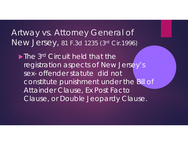Artway vs. Attorney General of New Jersey, 81 F.3d 1235 (3rd Cir.1996)

lacktriangleright The 3rd Circuit held that the registration aspects of New Jersey's sex- offender statute did not constitute punishment under the Bill of Attainder Clause, Ex Post Facto Clause, or Double Jeopardy Clause.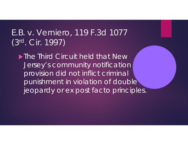# E.B. v. Verniero, 119 F.3d 1077 (3rd. Cir. 1997)

**In** The Third Circuit held that New Jersey's community notification provision did not inflict criminal punishment in violation of double jeopardy or ex post facto principles.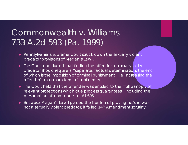# Commonwealth v. Williams 733 A.2d 593 (Pa. 1999)

- Pennsylvania's Supreme Court struck down the sexually violent predator provisions of Megan's Law I.
- **The Court concluded that finding the offender a sexually violent** predator should require a "separate, factual determination, the end of which is the imposition of criminal punishment", i.e. increasing the offender's maximum term of confinement.
- The Court held that the offender was entitled to the "full panoply of relevant protections which due process guarantees", including the presumption of innocence. Id. At 603.
- Because Megan's Law I placed the burden of proving he/she was not a sexually violent predator, it failed 14<sup>th</sup> Amendment scrutiny.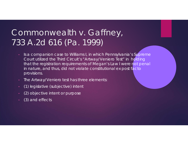# Commonwealth v. Gaffney, 733 A.2d 616 (Pa. 1999)

- Is a companion case to Williams I, in which Pennsylvania's Supreme Court utilized the Third Circuit's "Artway/Veniero Test" in holding that the registration requirements of Megan's Law I were not penal in nature, and thus, did not violate constitutional ex post facto provisions.
- The Artway/Veniero test has three elements:
- (1) legislative (subjective) intent
- (2) objective intent or purpose
- (3) and effects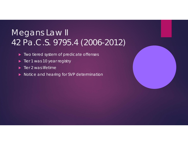# Megans Law II 42 Pa.C.S. 9795.4 (2006-2012)

- $\blacktriangleright$ Two tiered system of predicate offenses
- $\blacktriangleright$ Tier 1 was 10 year registry
- $\blacktriangleright$ Tier 2 was lifetime
- ▶ Notice and hearing for SVP determination

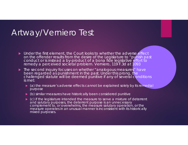### Artway/Verniero Test

- ▶ Under the first element, the Court looks to whether the adverse effect on the offender results from the desire of the Legislature to "punish past conduct or is instead a by-product of a bona fide legislative effort to remedy a perceived societal problem. Verniero, 119 F.3d at 1093
- **The second inquiry focuses on whether "analogous measures" have** been regarded as punishment in the past. Under this prong, the challenged statute will be deemed punitive if any of several conditions is met:
	- (a) the measure's adverse effects cannot be explained solely by its remedial purpose
	- (b) similar measures have historically been considered punitive
	- (c) if the legislature intended the measure to serve a mixture of deterrent and salutary purposes, the deterrent purpose is an unnecessary complement to, or overwhelms, the measure salutary operation, or the measure operates in an unusual manner is inconsistent with its historically mixed purposes.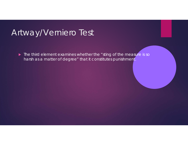### Artway/Verniero Test

**The third element examines whether the "sting of the measure is so Fig. 3.** harsh as a matter of degree" that it constitutes punishment.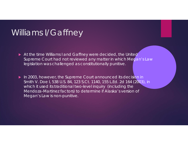### Williams I/Gaffney

- At the time Williams I and Gaffney were decided, the United Supreme Court had not reviewed any matter in which Megan's Law legislation was challenged as constitutionally punitive.
- In 2003, however, the Supreme Court announced its decision in Smith V. Doe I, 538 U.S. 84, 123 S.Ct. 1140, 155 L.Ed. 2d 164 (2003), in which it used its traditional two-level inquiry (including the Mendoza-Martinez factors) to determine if Alaska's version of Megan's Law is non-punitive.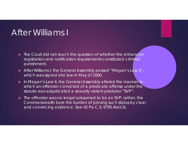#### After Williams I

- **The Court did not reach the question of whether the enhanced** registration and notification requirements constituted criminal punishment.
- After Williams I, the General Assembly passed "Megan's Law II", which was signed into law in May of 2000.
- In Megan's Law II, the General Assembly altered the manner in which an offender convicted of a predicate offense under the statute was adjudicated a sexually violent predator "SVP".
- **The offender was no longer presumed to be an SVP, rather, the** Commonwealth bore the burden of proving such status by clear and convincing evidence. See 42 Pa.C.S. 9795.4(e)(3).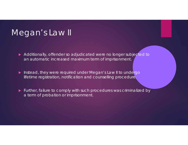### Megan's Law II

- Additionally, offender so adjudicated were no longer subjected to an automatic increased maximum term of imprisonment.
- Instead, they were required under Megan's Law II to undergo lifetime registration, notification and counselling procedure.
- **Further, failure to comply with such procedures was criminalized by** a term of probation or imprisonment.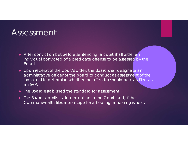#### Assessment

- After conviction but before sentencing, a court shall order an individual convicted of a predicate offense to be assessed by the Board.
- Dupon receipt of the court's order, the Board shall designate an administrative officer of the board to conduct as assessment of the individual to determine whether the offender should be classified as an SVP.
- **The Board established the standard for assessment.**
- **The Board submits its determination to the Court, and, if the** Commonwealth files a praecipe for a hearing, a hearing is held.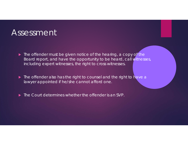#### **Assessment**

- **The offender must be given notice of the hearing, a copy of the** Board report, and have the opportunity to be heard, call witnesses, including expert witnesses, the right to cross witnesses.
- **The offender also has the right to counsel and the right to have a** lawyer appointed if he/she cannot afford one.
- **The Court determines whether the offender is an SVP.**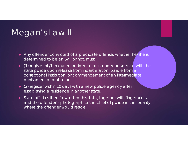# Megan's Law II

- Any offender convicted of a predicate offense, whether he/she is determined to be an SVP or not, must
- **1)** register his/her current residence or intended residence with the state police upon release from incarceration, parole from a correctional institution, or commencement of an intermediate punishment or probation.
- $\blacktriangleright$  (2) register within 10 days with a new police agency after establishing a residence in another state.
- State officials then forwarded this data, together with fingerprints and the offender's photograph to the chief of police in the locality where the offender would reside.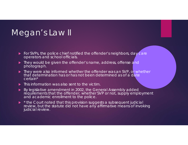# Megan's Law II

- **For SVPs, the police chief notified the offender's neighbors, day care** operators and school officials.
- **They would be given the offender's name, address, offense and** photograph.
- **They were also informed whether the offender was an SVP, or whether** that determination has or has not been determined as of a date certain\*
- $\blacktriangleright$  This information was also sent to the victim.
- By legislative amendment in 2002, the General Assembly added requirements that the offender, whether SVP or not, supply employment and academic enrollment to the police.
- ▶ \* the Court noted that this provision suggests a subsequent judicial review, but the statute did not have any affirmative means of invoking judicial review.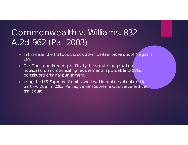# Commonwealth v. Williams, 832 A.2d 962 (Pa. 2003)

- In this case, the trial court struck down certain provisions of Megan's Law II.
- **The Court considered specifically the statute's registration** notification, and counselling requirements, applicable to SVPs, constituted criminal punishment.
- **D** Using the U.S. Supreme Court's two-level formulate articulated in Smith v. Doe I in 2003, Pennsylvania's Supreme Court reversed the trial court.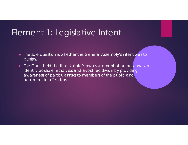### Element 1: Legislative Intent

- The sole question is whether the General Assembly's intent was to punish.
- **The Court held the that statute's own statement of purpose was to** identify possible recidivists and avoid recidivism by providing awareness of particular risks to members of the public and treatment to offenders.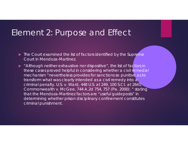#### Element 2: Purpose and Effect

- **The Court examined the list of factors identified by the Supreme** Court in Mendoza-Martinez.
- **Although neither exhaustive nor dispositive", the list of factors in** these cases proved helpful in considering whether a civil remedial mechanism "nevertheless provides for sanctions so punitive as to transform what was clearly intended as a civil remedy into a criminal penalty. U.S. v. Ward, 448 U.S. at 249, 100 S.Ct. at 2641: Commonwealth v. McGee, 744 A.2d 754, 757 (Pa. 2000). " stating that the Mendoza-Martinez factors are "useful guideposts" in determining whether prison disciplinary confinement constitutes criminal punishment.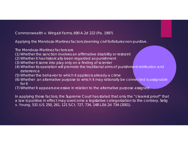Commonwealth v. Wingait Farms, 690 A.2d 222 (Pa. 1997)

Applying the Mendoza-Martinez factors deeming civil forfeitures non-punitive.

The Mendoza-Martinez factors are

- (1) Whether the sanction involves an affirmative disability or restraint
- (2) Whether it has historically been regarded as punishment
- (3) Whether it some into play only on a finding of scienter
- (4) Whether its operation will promote the traditional aims of punishment-retribution and deterrence
- (5) Whether the behavior to which it applies is already a crime
- (6) Whether an alternative purpose to which it may rationally be connected is assignable for it
- (7) Whether it appears excessive in relation to the alternative purpose assigned.

In applying those factors, the Supreme Court has stated that only the "clearest proof" that a law is punitive in effect may overcome a legislative categorization to the contrary. Selig v. Young, 531 U.S. 250, 261, 121 S.Ct. 727, 734, 148 L.Ed.2d 734 (2001).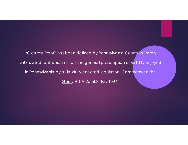"Clearest Proof" has been defined by Pennsylvania Courts as "rarely articulated, but which mirrors the general presumption of validity enjoyed in Pennsylvania by all lawfully enacted legislation. Commonwealth v. Stern, 701 A.2d 568 (Pa. 1997).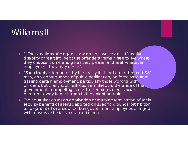# Williams II

- ▶ 1. The sanctions of Megan's Law do not involve an "affirmative disability or restraint" because offenders "remain free to live where they choose, come and go as they please, and seek whatever employment they may desire".
- ▶ "Such liberty is tempered by the reality that registrants deemed SVPs may, as a consequence of public notification, be foreclosed from gaining certain employment, particularly those working with children, but….any such restriction is in direct furtherance of the government's compelling interest in keeping violent sexual predators away from children to the extent possible.
- **The court sites cases on deprivation or restraint: termination of social** security benefits of aliens deported on specific grounds; prohibition on payment of salaries of certain government employees charged with subversive beliefs and associations;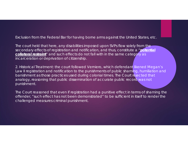Exclusion from the Federal Bar for having borne arms against the United States, etc.

The court held that here, any disabilities imposed upon SVPs flow solely from the secondary effects of registration and notification, and thus, constitute a "**potential collateral restraint**" and such effects do not fall with in the same category as incarceration or deprivation of citizenship.

2. Historical Treatment: the court followed Verniero, which defendant likened Megan's Law II registration and notification to the punishments of public shaming, humiliation and banishment as those practices used during colonial times. The Court rejected that analogy, reasoning that public dissemination of accurate public record was not punishment.

The Court reasoned that even if registration had a punitive effect in terms of shaming the offender, "such effect has not been demonstrated" to be sufficient in itself to render the challenged measures criminal punishment.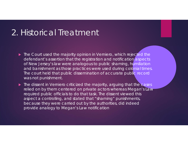#### 2. Historical Treatment

- ▶ The Court used the majority opinion in Verniero, which rejected the defendant's assertion that the registration and notification aspects of New Jersey's law were analogous to public shaming, humiliation and banishment as those practices were used during colonial times. The court held that public dissemination of accurate public record was not punishment.
- **The dissent in Verniero criticized the majority, arguing that the cases** relied on by them centered on private actors whereas Megan's Law required public officials to do that task. The dissent viewed this aspect a controlling, and stated that "shaming" punishments, because they were carried out by the authorities, did indeed provide analogy to Megan's Law notification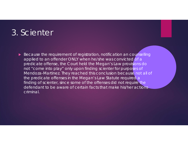#### 3. Scienter

Because the requirement of registration, notification an counselling applied to an offender ONLY when he/she was convicted of a predicate offense, the Court held the Megan's Law provisions do not "come into play" only upon finding scienter for purposes of Mendoza-Martinez. They reached this conclusion because not all of the predicate offenses in the Megan's Law Statute required a finding of scienter, since some of the offenses did not require the defendant to be aware of certain facts that make his/her actions criminal.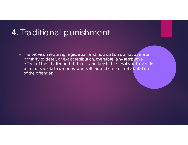### 4. Traditional punishment

**The provision requiring registration and notification do not operate** primarily to deter, or exact retribution, therefore, any retributive effect of the challenged statute is ancillary to the results achieved in terms of societal awareness and self-protection, and rehabilitation of the offender.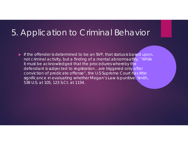# 5. Application to Criminal Behavior

If the offender is determined to be an SVP, that status is based upon, not criminal activity, but a finding of a mental abnormaatlity. "While it must be acknowledged that the procedures whereby the defendant is subjected to registration…are triggered only after conviction of predicate offense", the U.S Supreme Court has little significance in evaluating whether Megan's Law is punitive. Smith, 538 U.S. at 105, 123 S.Ct. at 1154.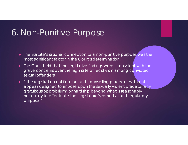#### 6. Non-Punitive Purpose

- **The Statute's rational connection to a non-punitive purpose was the** most significant factor in the Court's determination.
- **The Court held that the legislative findings were "consistent with the 1944** grave concerns over the high rate of recidivism among convicted sexual offenders."
- $\blacktriangleright$  " the registration notification and counselling procedures do not appear designed to impose upon the sexually violent predator any gratuitous opprobrium\* or hardship beyond what is reasonably necessary to effectuate the Legislature's remedial and regulatory purpose."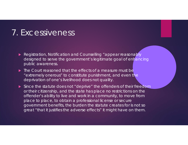#### 7. Excessiveness

- **Registration, Notification and Counselling "appear reasonably** designed to serve the government's legitimate goal of enhancing public awareness.
- $\blacktriangleright$  The Court reasoned that the effects of a measure must be "extremely onerous" to constitute punishment, and even the deprivation of one's livelihood does not quality.
- Since the statute does not "deprive" the offenders of their freedom or their citizenship, and the state has place no restrictions on the offender's ability to live and work in a community, to move from place to place, to obtain a professional license or secure government benefits, the burden the statute creates for is not so great "that it justifies the adverse effects" it might have on them.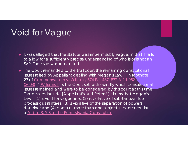### Void for Vague

- It was alleged that the statute was impermissibly vague, in that if fails to allow for a sufficiently precise understanding of who is or is not an SVP. The issue was remanded.
- **The Court remanded to the trial court the remaining constitutional** issues raised by Appellant dealing with Megan's Law II. In footnote 27 of *Commonwealth v. Williams,* 574 Pa. 487, 832 A.2d 962 (2003) (" *Williams II* "), the Court set forth exactly which constitutional issues remained and were to be considered by this court at this time. Those issues include [Appellant's and Peters's] claims that Megan's Law II:(1) is void for vagueness; (2) is violative of substantive due process guarantees; (3) is violative of the separation of powers doctrine; and (4) contains more than one subject in contravention of Article 3, § 3 of the Pennsylvania Constitution.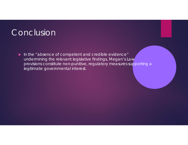# Conclusion

In the "absence of competent and credible evidence" undermining the relevant legislative findings, Megan's Law provisions constitute non-punitive, regulatory measures supporting a legitimate governmental interest.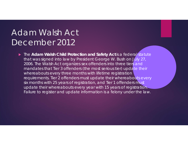# Adam Walsh Act December 2012

**The Adam Walsh Child Protection and Safety Act** is a federal statute that was signed into law by President George W. Bush on July 27, 2006. The Walsh Act organizes sex offenders into three tiers and mandates that Tier 3 offenders (the most serious tier) update their whereabouts every three months with lifetime registration requirements. Tier 2 offenders must update their whereabouts every six months with 25 years of registration, and Tier 1 offenders must update their whereabouts every year with 15 years of registration. Failure to register and update information is a felony under the law.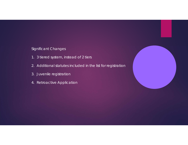#### Significant Changes

- 1. 3 tiered system, instead of 2 tiers
- 2. Additional statutes included in the list for registration
- 3. Juvenile registration
- 4. Retroactive Application

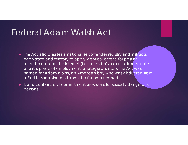#### Federal Adam Walsh Act

- ▶ The Act also creates a national sex offender registry and instructs each state and territory to apply identical criteria for posting offender data on the Internet (i.e., offender's name, address, date of birth, place of employment, photograph, etc.). The Act was named for Adam Walsh, an American boy who was abducted from a Florida shopping mall and later found murdered.
- $\blacktriangleright$ It also contains civil commitment provisions for sexually dangerous persons.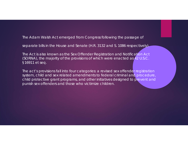The Adam Walsh Act emerged from Congress following the passage of

separate bills in the House and Senate (H.R. 3132 and S. 1086 respectively).

The Act is also known as the Sex Offender Registration and Notification Act (SORNA), the majority of the provisions of which were enacted as 42 U.S.C. §16911 et seq.

The act's provisions fall into four categories: a revised sex offender registration system, child and sex related amendments to federal criminal and procedure, child protective grant programs, and other initiatives designed to prevent and punish sex offenders and those who victimize children.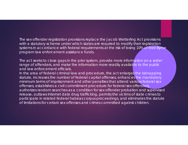The sex offender registration provisions replace the Jacob Wetterling Act provisions with a statutory scheme under which states are required to modify their registration systems in accordance with federal requirements at the risk of losing 10% of their Byrne program law enforcement assistance funds.

The act seeks to close gaps in the prior system, provide more information on a wider range of offenders, and make the information more readily available to the public and law enforcement officials.

In the area of federal criminal law and procedure, the act enlarges the kidnapping statute, increases the number of federal capital offenses, enhances the mandatory minimum terms of imprisonment and other penalties that attend various federal sex offenses, establishes a civil commitment procedure for federal sex offenders, authorizes random searches as a condition for sex offender probation and supervised release, outlaws Internet date drug trafficking, permits the victims of state crimes to participate in related federal habeas corpus proceedings, and eliminates the statute of limitations for certain sex offenses and crimes committed against children.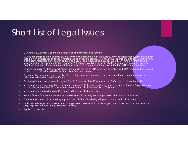# Short List of Legal Issues

- $\blacktriangleright$ Gives the U.S. Attorney General the authority to apply the law retroactively
- $\blacktriangleright$ ► Gives a federal Judge the ability to civilly commit individuals who are in the custody of the federal prison system if it is proven<br>that the individual (1) has engaged or attempted to engage in sexually violent conduct violent conduct or child molestation if released. A hearing is available to the involuntarily committed individual every six months to reconsider their commitment status if requested by council or the person in the federal treatment program.
- $\blacktriangleright$  Establishes a national database which will incorporate the use of DNA evidence collection and DNA registry and tracking of convicted sex offenders with Global Positioning System technology.
- $\blacktriangleright$ **The law defines and requires a three-tier classification system for sex offenders, based on offense committed, replacing the interact and replacing the interaction of the system of the system of the system of the system o** older system based on risk of re-offence.
- $\blacktriangleright$ Tier 1 sex offenders are required to register for 10-15 years; tier 2 for 25 years and tier 3 offenders must register for life.
- $\blacktriangleright$ **Increases the mandatory minimum incarceration period of 25 years for kidnapping or maiming a child and 30 years for sex** with a child younger than 12 or for sexually assaulting a child between 13 and 17 years old.
- $\blacktriangleright$ Increases the penalties for sex trafficking of children and child prostitution.
- $\blacktriangleright$ Widens federal funding to assist local law enforcement in tracking sexual exploitation of minors on the Internet.
- $\blacktriangleright$ Creates a National Child Abuse Registry to protect children from being adopted by convicted child abusers.
- $\blacktriangleright$  Limits the defense access to examine child exploitation material which is the subject of a charge, such that examination may only be conducted in a government building
- ▶ Applies to Juveniles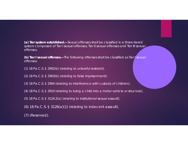**(a) Tier system established.--**Sexual offenses shall be classified in a three-tiered system composed of Tier I sexual offenses, Tier II sexual offenses and Tier III sexual offenses.

**(b) Tier I sexual offenses.--**The following offenses shall be classified as Tier I sexual offenses:

- (1) 18 Pa.C.S. § 2902(b) (relating to unlawful restraint).
- (2) 18 Pa.C.S. § 2903(b) (relating to false imprisonment).
- (3) 18 Pa.C.S. § 2904 (relating to interference with custody of children).
- (4) 18 Pa.C.S. § 2910 (relating to luring a child into a motor vehicle or structure).
- (5) 18 Pa.C.S. § 3124.2(a) (relating to institutional sexual assault).
- (6) 18 Pa.C.S. § 3126(a)(1) (relating to indecent assault).
- (7) (Reserved).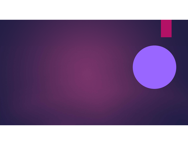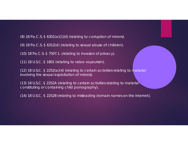(8) 18 Pa.C.S. § 6301(a)(1)(ii) (relating to corruption of minors).

(9) 18 Pa.C.S. § 6312(d) (relating to sexual abuse of children).

(10) 18 Pa.C.S. § 7507.1. (relating to invasion of privacy).

(11) 18 U.S.C. § 1801 (relating to video voyeurism).

(12) 18 U.S.C. § 2252(a)(4) (relating to certain activities relating to material involving the sexual exploitation of minors).

(13) 18 U.S.C. § 2252A (relating to certain activities relating to material constituting or containing child pornography).

(14) 18 U.S.C. § 2252B (relating to misleading domain names on the Internet).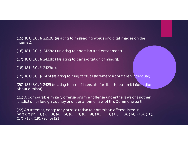(15) 18 U.S.C. § 2252C (relating to misleading words or digital images on the Internet).

(16) 18 U.S.C. § 2422(a) (relating to coercion and enticement).

(17) 18 U.S.C. § 2423(b) (relating to transportation of minors).

(18) 18 U.S.C. § 2423(c).

(19) 18 U.S.C. § 2424 (relating to filing factual statement about alien individual).

(20) 18 U.S.C. § 2425 (relating to use of interstate facilities to transmit information about a minor).

(21) A comparable military offense or similar offense under the laws of another jurisdiction or foreign country or under a former law of this Commonwealth.

(22) An attempt, conspiracy or solicitation to commit an offense listed in paragraph (1), (2), (3), (4), (5), (6), (7), (8), (9), (10), (11), (12), (13), (14), (15), (16), (17), (18), (19), (20) or (21).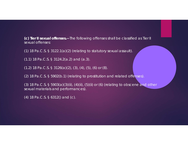**(c) Tier II sexual offenses.--**The following offenses shall be classified as Tier II sexual offenses:

(1) 18 Pa.C.S. § 3122.1(a)(2) (relating to statutory sexual assault).

(1.1) 18 Pa.C.S. § 3124.2(a.2) and (a.3).

(1.2) 18 Pa.C.S. § 3126(a)(2), (3), (4), (5), (6) or (8).

(2) 18 Pa.C.S. § 5902(b.1) (relating to prostitution and related offenses).

(3) 18 Pa.C.S. § 5903(a)(3)(ii), (4)(ii), (5)(ii) or (6) (relating to obscene and other sexual materials and performances).

(4) 18 Pa.C.S. § 6312() and (c).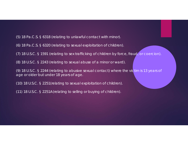- (5) 18 Pa.C.S. § 6318 (relating to unlawful contact with minor).
- (6) 18 Pa.C.S. § 6320 (relating to sexual exploitation of children).
- (7) 18 U.S.C. § 1591 (relating to sex trafficking of children by force, fraud, or coercion).
- (8) 18 U.S.C. § 2243 (relating to sexual abuse of a minor or ward).
- (9) 18 U.S.C. § 2244 (relating to abusive sexual contact) where the victim is 13 years of age or older but under 18 years of age.
- (10) 18 U.S.C. § 2251(relating to sexual exploitation of children).
- (11) 18 U.S.C. § 2251A(relating to selling or buying of children).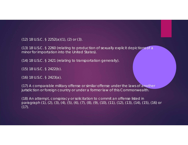#### (12) 18 U.S.C. § 2252(a)(1), (2) or (3).

(13) 18 U.S.C. § 2260 (relating to production of sexually explicit depictions of a minor for importation into the United States).

(14) 18 U.S.C. § 2421 (relating to transportation generally).

(15) 18 U.S.C. § 2422(b).

(16) 18 U.S.C. § 2423(a).

(17) A comparable military offense or similar offense under the laws of another jurisdiction or foreign country or under a former law of this Commonwealth.

(18) An attempt, conspiracy or solicitation to commit an offense listed in paragraph (1), (2), (3), (4), (5), (6), (7), (8), (9), (10), (11), (12), (13), (14), (15), (16) or  $(17)$ .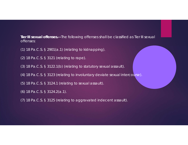**Tier III sexual offenses.--**The following offenses shall be classified as Tier III sexual offenses:

- (1) 18 Pa.C.S. § 2901(a.1) (relating to kidnapping).
- (2) 18 Pa.C.S. § 3121 (relating to rape).
- (3) 18 Pa.C.S. § 3122.1(b) (relating to statutory sexual assault).
- (4) 18 Pa.C.S. § 3123 (relating to involuntary deviate sexual intercourse).
- (5) 18 Pa.C.S. § 3124.1 (relating to sexual assault).
- (6) 18 Pa.C.S. § 3124.2(a.1).
- (7) 18 Pa.C.S. § 3125 (relating to aggravated indecent assault).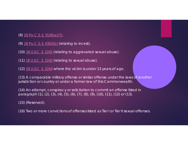- (8) 18 Pa.C.S. § 3126(a)(7).
- (9) 18 Pa.C.S. § 4302(b) (relating to incest).
- (10) 18 U.S.C. § 2241 (relating to aggravated sexual abuse).
- (11) 18 U.S.C. § 2242 (relating to sexual abuse).
- (12)  $18$  U.S.C. § 2244 where the victim is under 13 years of age.
- (13) A comparable military offense or similar offense under the laws of another jurisdiction or country or under a former law of this Commonwealth.
- (14) An attempt, conspiracy or solicitation to commit an offense listed in paragraph (1), (2), (3), (4), (5), (6), (7), (8), (9), (10), (11), (12) or (13).
- (15) (Reserved).
- (16) Two or more convictions of offenses listed as Tier I or Tier II sexual offenses.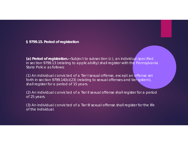**§ 9799.15. Period of registration**

**(a) Period of registration.--**Subject to subsection (c), an individual specified in section 9799.13 (relating to applicability) shall register with the Pennsylvania State Police as follows:

(1) An individual convicted of a Tier I sexual offense, except an offense set forth in section 9799.14(b)(23) (relating to sexual offenses and tier system), shall register for a period of 15 years.

(2) An individual convicted of a Tier II sexual offense shall register for a period of 25 years.

(3) An individual convicted of a Tier III sexual offense shall register for the life of the individual.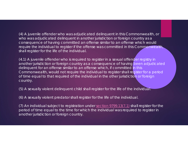(4) A juvenile offender who was adjudicated delinquent in this Commonwealth, or who was adjudicated delinquent in another jurisdiction or foreign country as a consequence of having committed an offense similar to an offense which would require the individual to register if the offense was committed in this Commonwealth, shall register for the life of the individual.

(4.1) A juvenile offender who is required to register in a sexual offender registry in another jurisdiction or foreign country as a consequence of having been adjudicated delinquent for an offense similar to an offense which, if committed in this Commonwealth, would not require the individual to register shall register for a period of time equal to that required of the individual in the other jurisdiction or foreign country.

(5) A sexually violent delinquent child shall register for the life of the individual.

(6) A sexually violent predator shall register for the life of the individual.

(7) An individual subject to registration under section 9799.13(7.1) shall register for the period of time equal to the time for which the individual was required to register in another jurisdiction or foreign country.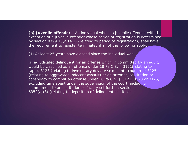**(a) Juvenile offender.--**An individual who is a juvenile offender, with the exception of a juvenile offender whose period of registration is determined by section 9799.15(a)(4.1) (relating to period of registration), shall have the requirement to register terminated if all of the following apply:

(1) At least 25 years have elapsed since the individual was:

(i) adjudicated delinquent for an offense which, if committed by an adult, would be classified as an offense under 18 Pa.C.S. § 3121(relating to rape), 3123 (relating to involuntary deviate sexual intercourse) or 3125 (relating to aggravated indecent assault) or an attempt, solicitation or conspiracy to commit an offense under 18 Pa.C.S. § 3121, 3123 or 3125, excluding time spent under the supervision of the court, including commitment to an institution or facility set forth in section 6352(a)(3) (relating to deposition of delinquent child); or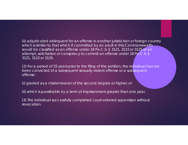(ii) adjudicated delinquent for an offense in another jurisdiction or foreign country which is similar to that which if committed by an adult in this Commonwealth would be classified as an offense under 18 Pa.C.S. § 3121, 3123 or 3125 or an attempt, solicitation or conspiracy to commit an offense under 18 Pa.C.S. § 3121, 3123 or 3125.

(2) For a period of 25 years prior to the filing of the petition, the individual has not been convicted of a subsequent sexually violent offense or a subsequent offense:

(i) graded as a misdemeanor of the second degree or higher; or

(ii) which is punishable by a term of imprisonment greater than one year.

(3) The individual successfully completed court-ordered supervision without revocation.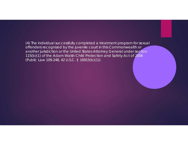(4) The individual successfully completed a treatment program for sexual offenders recognized by the juvenile court in this Commonwealth or another jurisdiction or the United States Attorney General under section 115(b)(1) of the Adam Walsh Child Protection and Safety Act of 2006 (Public Law 109-248, 42 U.S.C. § 16915(b)(1)).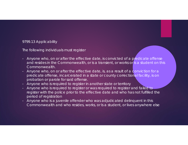#### 9799.13 Applicability

The following individuals must register

- -Anyone who, on or after the effective date, is convicted of a predicate offense and resides in the Commonwealth, or is a transient, or works or is a student on this Commonwealth.
- - Anyone who, on or after the effective date, is, as a result of a conviction for a predicate offense, incarcerated in a state or county correctional facility, is on probation or parole for said offense.
- Anyone who is required to register in another state or territory
- -Anyone who is required to register or was required to register and failed to register with the police prior to the effective date and who has not fulfilled the period of registration
- - Anyone who is a juvenile offender who was adjudicated delinquent in this Commonwealth and who resides, works, or Is a student, or lives anywhere else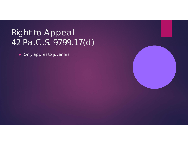# Right to Appeal 42 Pa.C.S. 9799.17(d)

• Only applies to juveniles

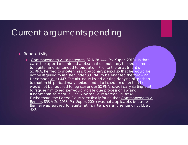#### Current arguments pending

#### $\blacktriangleright$ **Retroactivity**

▶ Commonwealth v. Hainesworth, 82 A.2d 444 (Pa. Super. 2013). In that case, the appellant entered a plea that did not carry the requirement to register and sentenced to probation. Prior to the enactment of SORNA, he filed to shorten his probationary period so that he would be not be required to register under SORNA, to be enacted the following December. Id. at 447. The trial court issued a ruling denying his petition to shorten his probationary period, and also issued an order that he would not be required to register under SORNA, specifically stating that to require him to register would violate due process of law and fundamental fairness. Id. The Superior Court agreed. Id. at 450. Furthermore, the Partee Court specifically found that Commonwealth v. Benner, 853 A.2d 1068 (Pa. Super. 2004) was not applicable, because Benner was required to register at his initial plea and sentencing. Id. at 450.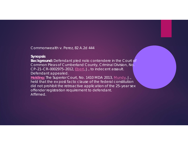Commonwealth v. Perez, 82 A.2d 444

#### **Synopsis**

**Background:** Defendant pled nolo contendere in the Court of Common Pleas of Cumberland County, Criminal Division, No. CP–21–CR–0002975–2012, Ebert, J., to indecent assault. Defendant appealed. **Holding:** The Superior Court, No. 1410 MDA 2013, Mundy, J., held that the ex post facto clause of the federal constitution did not prohibit the retroactive application of the 25–year sex offender registration requirement to defendant.

Affirmed.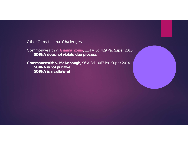Other Constitutional Challenges

Commonwealth v. **Giannantonio,** 114 A.3d 429 Pa. Super 2015 **SORNA does not violate due process**

**Commonwealth v. McDonough,** 96 A.3d 1067 Pa. Super 2014 **SORNA is not punitive SORNA is a collateral**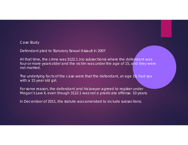#### Case Study

Defendant pled to Statutory Sexual Assault in 2007

At that time, the crime was 3122.1 (no subsections) where the defendant was four or more years older and the victim was under the age of 15, and they were not married.

The underlying facts of the case were that the defendant, at age 19, had sex with a 15 year old girl.

For some reason, the defendant and his lawyer agreed to register under Megan's Law II, even though 3122.1 was not a predicate offense. 10 years.

In December of 2011, the statute was amended to include subsections.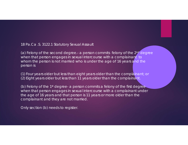18 Pa.Ca .S. 3122.1 Statutory Sexual Assault

(a) Felony of the second degree.- a person commits felony of the  $2<sup>nd</sup>$  degree when that person engages in sexual intercourse with a complainant to whom the person is not married who is under the age of 16 years and the person is

(1) Four years older but less than eight years older than the complainant; or (2) Eight years older but less than 11 years older than the complainant.

(b) Felony of the 1<sup>st</sup> degree- a person commits a felony of the first degree when that person engages in sexual intercourse with a complainant under the age of 16 years and that person is 11 years or more older than the complainant and they are not married.

Only section (b) needs to register.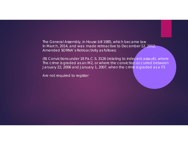The General Assembly, in House bill 1985, which became law In March, 2014, and was made retroactive to December 12, 2012, Amended SORNA's Retroactivity as follows:

(B) Convictions under 18 Pa.C.S. 3126 (relating to indecent assault), where The crime is graded as an M2, or where the conviction occurred between January 22, 2006 and January 1, 2007, when the crime is graded as a F3

Are not required to register